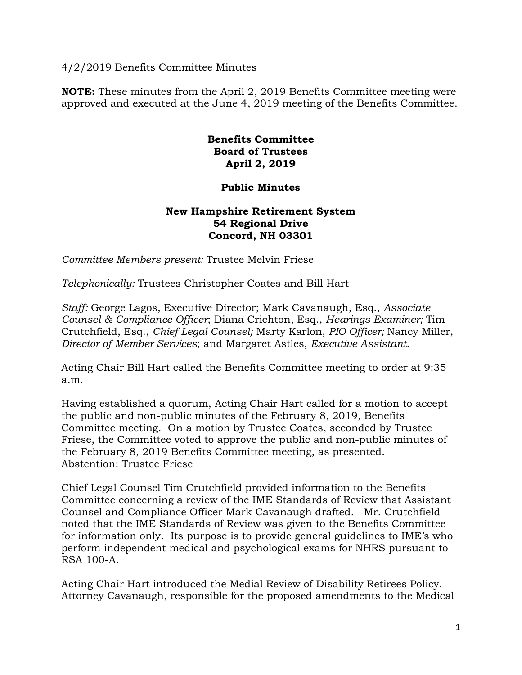4/2/2019 Benefits Committee Minutes

**NOTE:** These minutes from the April 2, 2019 Benefits Committee meeting were approved and executed at the June 4, 2019 meeting of the Benefits Committee.

## **Benefits Committee Board of Trustees April 2, 2019**

## **Public Minutes**

## **New Hampshire Retirement System 54 Regional Drive Concord, NH 03301**

*Committee Members present:* Trustee Melvin Friese

*Telephonically:* Trustees Christopher Coates and Bill Hart

*Staff:* George Lagos, Executive Director; Mark Cavanaugh, Esq., *Associate Counsel & Compliance Officer*; Diana Crichton, Esq., *Hearings Examiner;* Tim Crutchfield, Esq., *Chief Legal Counsel;* Marty Karlon, *PIO Officer;* Nancy Miller, *Director of Member Services*; and Margaret Astles, *Executive Assistant.* 

Acting Chair Bill Hart called the Benefits Committee meeting to order at 9:35 a.m.

Having established a quorum, Acting Chair Hart called for a motion to accept the public and non-public minutes of the February 8, 2019, Benefits Committee meeting. On a motion by Trustee Coates, seconded by Trustee Friese, the Committee voted to approve the public and non-public minutes of the February 8, 2019 Benefits Committee meeting, as presented. Abstention: Trustee Friese

Chief Legal Counsel Tim Crutchfield provided information to the Benefits Committee concerning a review of the IME Standards of Review that Assistant Counsel and Compliance Officer Mark Cavanaugh drafted. Mr. Crutchfield noted that the IME Standards of Review was given to the Benefits Committee for information only. Its purpose is to provide general guidelines to IME's who perform independent medical and psychological exams for NHRS pursuant to RSA 100-A.

Acting Chair Hart introduced the Medial Review of Disability Retirees Policy. Attorney Cavanaugh, responsible for the proposed amendments to the Medical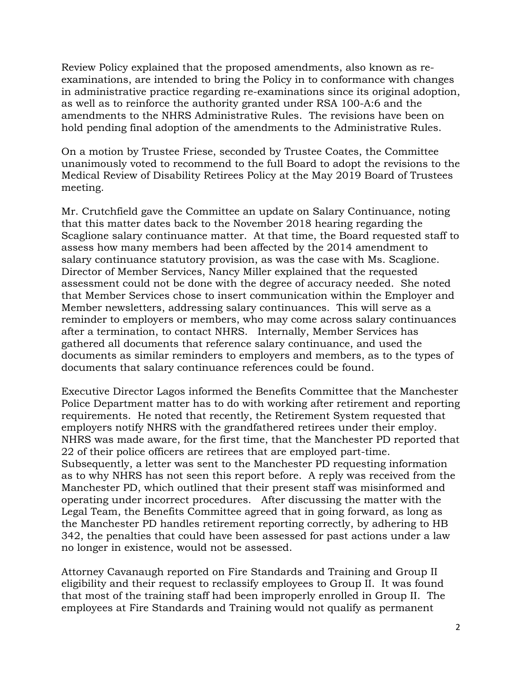Review Policy explained that the proposed amendments, also known as reexaminations, are intended to bring the Policy in to conformance with changes in administrative practice regarding re-examinations since its original adoption, as well as to reinforce the authority granted under RSA 100-A:6 and the amendments to the NHRS Administrative Rules. The revisions have been on hold pending final adoption of the amendments to the Administrative Rules.

On a motion by Trustee Friese, seconded by Trustee Coates, the Committee unanimously voted to recommend to the full Board to adopt the revisions to the Medical Review of Disability Retirees Policy at the May 2019 Board of Trustees meeting.

Mr. Crutchfield gave the Committee an update on Salary Continuance, noting that this matter dates back to the November 2018 hearing regarding the Scaglione salary continuance matter. At that time, the Board requested staff to assess how many members had been affected by the 2014 amendment to salary continuance statutory provision, as was the case with Ms. Scaglione. Director of Member Services, Nancy Miller explained that the requested assessment could not be done with the degree of accuracy needed. She noted that Member Services chose to insert communication within the Employer and Member newsletters, addressing salary continuances. This will serve as a reminder to employers or members, who may come across salary continuances after a termination, to contact NHRS. Internally, Member Services has gathered all documents that reference salary continuance, and used the documents as similar reminders to employers and members, as to the types of documents that salary continuance references could be found.

Executive Director Lagos informed the Benefits Committee that the Manchester Police Department matter has to do with working after retirement and reporting requirements. He noted that recently, the Retirement System requested that employers notify NHRS with the grandfathered retirees under their employ. NHRS was made aware, for the first time, that the Manchester PD reported that 22 of their police officers are retirees that are employed part-time. Subsequently, a letter was sent to the Manchester PD requesting information as to why NHRS has not seen this report before. A reply was received from the Manchester PD, which outlined that their present staff was misinformed and operating under incorrect procedures. After discussing the matter with the Legal Team, the Benefits Committee agreed that in going forward, as long as the Manchester PD handles retirement reporting correctly, by adhering to HB 342, the penalties that could have been assessed for past actions under a law no longer in existence, would not be assessed.

Attorney Cavanaugh reported on Fire Standards and Training and Group II eligibility and their request to reclassify employees to Group II. It was found that most of the training staff had been improperly enrolled in Group II. The employees at Fire Standards and Training would not qualify as permanent